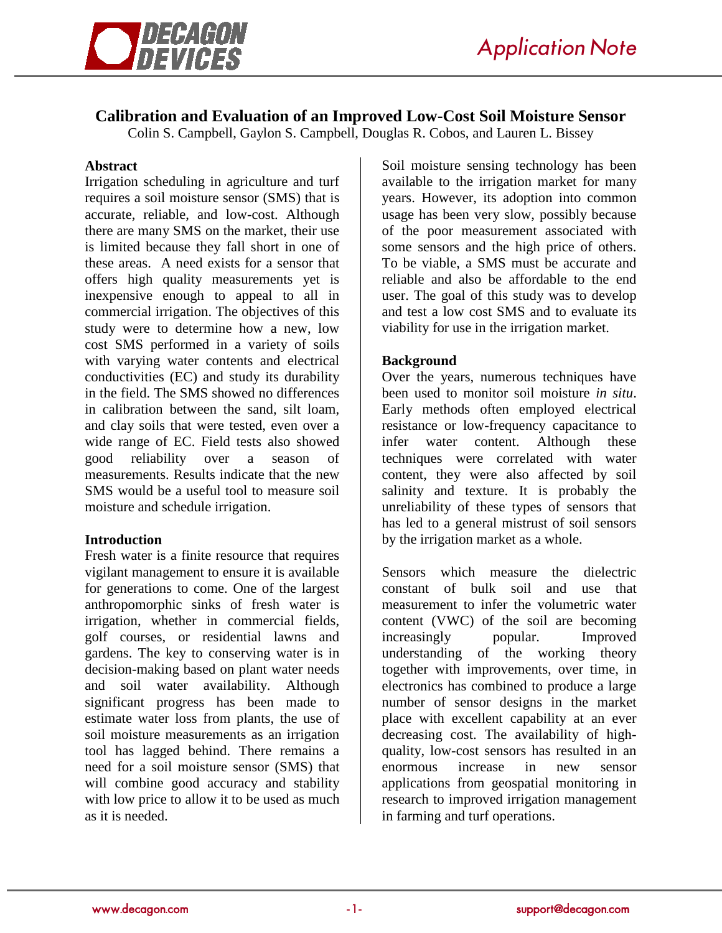

# **Calibration and Evaluation of an Improved Low-Cost Soil Moisture Sensor**

Colin S. Campbell, Gaylon S. Campbell, Douglas R. Cobos, and Lauren L. Bissey

#### **Abstract**

Irrigation scheduling in agriculture and turf requires a soil moisture sensor (SMS) that is accurate, reliable, and low-cost. Although there are many SMS on the market, their use is limited because they fall short in one of these areas. A need exists for a sensor that offers high quality measurements yet is inexpensive enough to appeal to all in commercial irrigation. The objectives of this study were to determine how a new, low cost SMS performed in a variety of soils with varying water contents and electrical conductivities (EC) and study its durability in the field. The SMS showed no differences in calibration between the sand, silt loam, and clay soils that were tested, even over a wide range of EC. Field tests also showed good reliability over a season of measurements. Results indicate that the new SMS would be a useful tool to measure soil moisture and schedule irrigation.

#### **Introduction**

Fresh water is a finite resource that requires vigilant management to ensure it is available for generations to come. One of the largest anthropomorphic sinks of fresh water is irrigation, whether in commercial fields, golf courses, or residential lawns and gardens. The key to conserving water is in decision-making based on plant water needs and soil water availability. Although significant progress has been made to estimate water loss from plants, the use of soil moisture measurements as an irrigation tool has lagged behind. There remains a need for a soil moisture sensor (SMS) that will combine good accuracy and stability with low price to allow it to be used as much as it is needed.

Soil moisture sensing technology has been available to the irrigation market for many years. However, its adoption into common usage has been very slow, possibly because of the poor measurement associated with some sensors and the high price of others. To be viable, a SMS must be accurate and reliable and also be affordable to the end user. The goal of this study was to develop and test a low cost SMS and to evaluate its viability for use in the irrigation market.

### **Background**

Over the years, numerous techniques have been used to monitor soil moisture *in situ*. Early methods often employed electrical resistance or low-frequency capacitance to infer water content. Although these techniques were correlated with water content, they were also affected by soil salinity and texture. It is probably the unreliability of these types of sensors that has led to a general mistrust of soil sensors by the irrigation market as a whole.

Sensors which measure the dielectric constant of bulk soil and use that measurement to infer the volumetric water content (VWC) of the soil are becoming increasingly popular. Improved understanding of the working theory together with improvements, over time, in electronics has combined to produce a large number of sensor designs in the market place with excellent capability at an ever decreasing cost. The availability of highquality, low-cost sensors has resulted in an<br>enormous increase in new sensor enormous increase in new sensor applications from geospatial monitoring in research to improved irrigation management in farming and turf operations.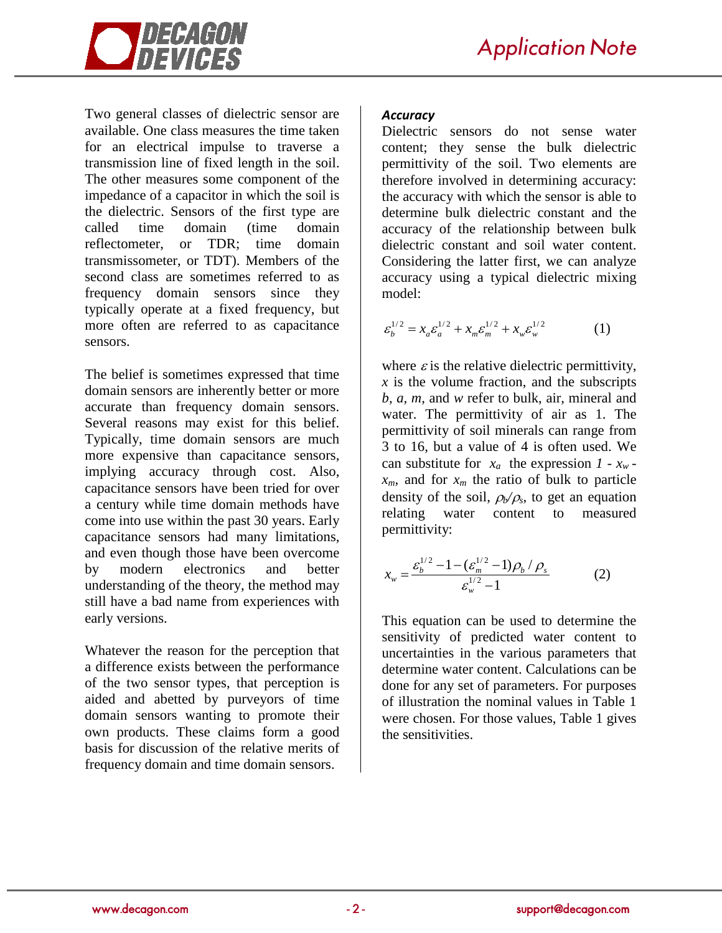

Two general classes of dielectric sensor are available. One class measures the time taken for an electrical impulse to traverse a transmission line of fixed length in the soil. The other measures some component of the impedance of a capacitor in which the soil is the dielectric. Sensors of the first type are called time domain (time domain reflectometer, or TDR; time domain transmissometer, or TDT). Members of the second class are sometimes referred to as frequency domain sensors since they typically operate at a fixed frequency, but more often are referred to as capacitance sensors.

The belief is sometimes expressed that time domain sensors are inherently better or more accurate than frequency domain sensors. Several reasons may exist for this belief. Typically, time domain sensors are much more expensive than capacitance sensors, implying accuracy through cost. Also, capacitance sensors have been tried for over a century while time domain methods have come into use within the past 30 years. Early capacitance sensors had many limitations, and even though those have been overcome by modern electronics and better understanding of the theory, the method may still have a bad name from experiences with early versions.

Whatever the reason for the perception that a difference exists between the performance of the two sensor types, that perception is aided and abetted by purveyors of time domain sensors wanting to promote their own products. These claims form a good basis for discussion of the relative merits of frequency domain and time domain sensors.

## *Accuracy*

Dielectric sensors do not sense water content; they sense the bulk dielectric permittivity of the soil. Two elements are therefore involved in determining accuracy: the accuracy with which the sensor is able to determine bulk dielectric constant and the accuracy of the relationship between bulk dielectric constant and soil water content. Considering the latter first, we can analyze accuracy using a typical dielectric mixing model:

$$
\varepsilon_b^{1/2} = x_a \varepsilon_a^{1/2} + x_m \varepsilon_m^{1/2} + x_w \varepsilon_w^{1/2}
$$
 (1)

where  $\varepsilon$  is the relative dielectric permittivity,  $x$  is the volume fraction, and the subscripts *b, a, m,* and *w* refer to bulk, air, mineral and water. The permittivity of air as 1. The permittivity of soil minerals can range from 3 to 16, but a value of 4 is often used. We can substitute for  $x_a$  the expression  $1 - x_w$   $x_m$ , and for  $x_m$  the ratio of bulk to particle density of the soil,  $\rho_b/\rho_s$ , to get an equation relating water content to measured water content to permittivity:

$$
x_w = \frac{\varepsilon_b^{1/2} - 1 - (\varepsilon_m^{1/2} - 1)\rho_b / \rho_s}{\varepsilon_w^{1/2} - 1}
$$
 (2)

This equation can be used to determine the sensitivity of predicted water content to uncertainties in the various parameters that determine water content. Calculations can be done for any set of parameters. For purposes of illustration the nominal values in Table 1 were chosen. For those values, Table 1 gives the sensitivities.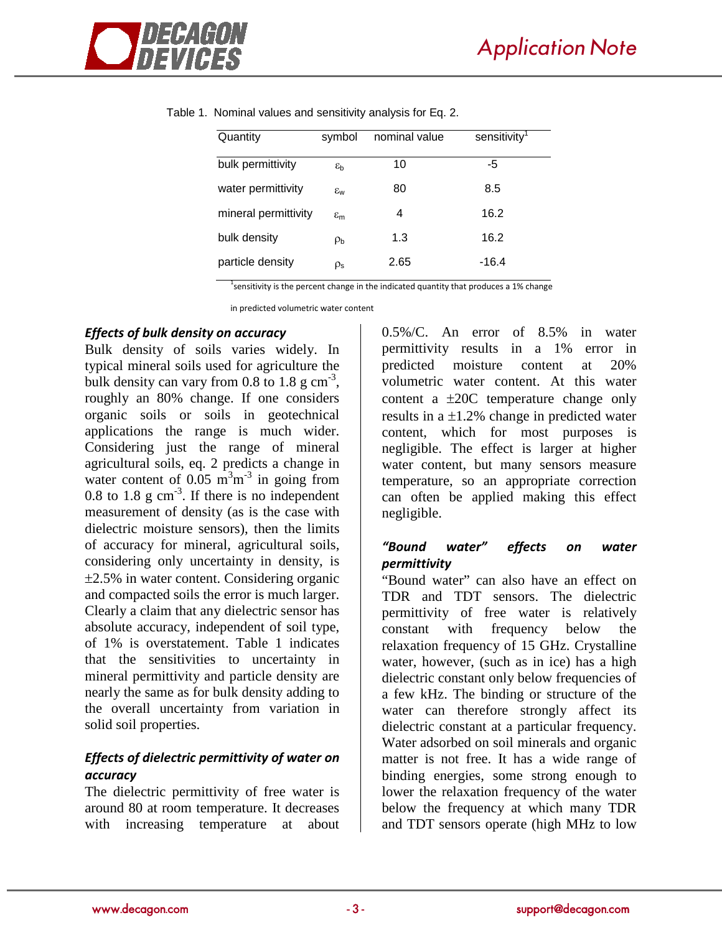

| Quantity             | symbol                | nominal value | sensitivity <sup>1</sup> |
|----------------------|-----------------------|---------------|--------------------------|
| bulk permittivity    | $\varepsilon_{\rm b}$ | 10            | -5                       |
| water permittivity   | $\varepsilon_{\rm w}$ | 80            | 8.5                      |
| mineral permittivity | $\varepsilon_{\rm m}$ | 4             | 16.2                     |
| bulk density         | $\rho_{\rm b}$        | 1.3           | 16.2                     |
| particle density     | $\rho_{\text{s}}$     | 2.65          | $-16.4$                  |

Table 1. Nominal values and sensitivity analysis for Eq. 2.

<sup>1</sup> sensitivity is the percent change in the indicated quantity that produces a 1% change

in predicted volumetric water content

#### *Effects of bulk density on accuracy*

Bulk density of soils varies widely. In typical mineral soils used for agriculture the bulk density can vary from 0.8 to 1.8  $\text{g cm}^{-3}$ , roughly an 80% change. If one considers organic soils or soils in geotechnical applications the range is much wider. Considering just the range of mineral agricultural soils, eq. 2 predicts a change in water content of  $0.05 \text{ m}^3 \text{m}^{-3}$  in going from 0.8 to 1.8  $g \text{ cm}^{-3}$ . If there is no independent measurement of density (as is the case with dielectric moisture sensors), then the limits of accuracy for mineral, agricultural soils, considering only uncertainty in density, is ±2.5% in water content. Considering organic and compacted soils the error is much larger. Clearly a claim that any dielectric sensor has absolute accuracy, independent of soil type, of 1% is overstatement. Table 1 indicates that the sensitivities to uncertainty in mineral permittivity and particle density are nearly the same as for bulk density adding to the overall uncertainty from variation in solid soil properties.

# *Effects of dielectric permittivity of water on accuracy*

The dielectric permittivity of free water is around 80 at room temperature. It decreases with increasing temperature at about

0.5%/C. An error of 8.5% in water permittivity results in a 1% error in predicted moisture content at 20% volumetric water content. At this water content a ±20C temperature change only results in a  $\pm 1.2$ % change in predicted water content, which for most purposes is negligible. The effect is larger at higher water content, but many sensors measure temperature, so an appropriate correction can often be applied making this effect negligible.

## *"Bound water" effects on water permittivity*

"Bound water" can also have an effect on TDR and TDT sensors. The dielectric permittivity of free water is relatively constant with frequency below the relaxation frequency of 15 GHz. Crystalline water, however, (such as in ice) has a high dielectric constant only below frequencies of a few kHz. The binding or structure of the water can therefore strongly affect its dielectric constant at a particular frequency. Water adsorbed on soil minerals and organic matter is not free. It has a wide range of binding energies, some strong enough to lower the relaxation frequency of the water below the frequency at which many TDR and TDT sensors operate (high MHz to low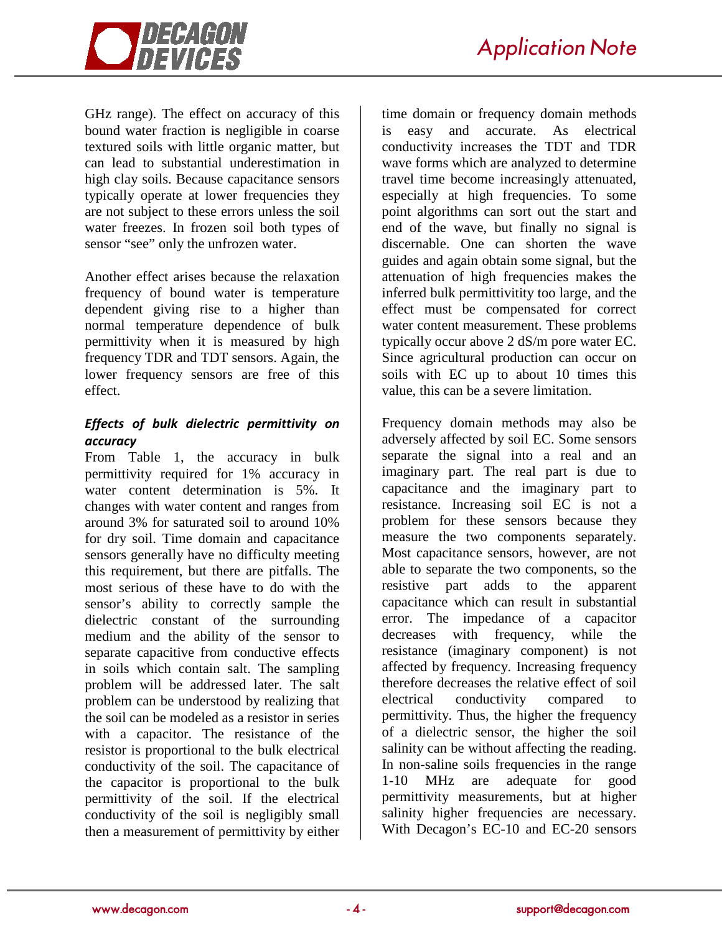

GHz range). The effect on accuracy of this bound water fraction is negligible in coarse textured soils with little organic matter, but can lead to substantial underestimation in high clay soils. Because capacitance sensors typically operate at lower frequencies they are not subject to these errors unless the soil water freezes. In frozen soil both types of sensor "see" only the unfrozen water.

Another effect arises because the relaxation frequency of bound water is temperature dependent giving rise to a higher than normal temperature dependence of bulk permittivity when it is measured by high frequency TDR and TDT sensors. Again, the lower frequency sensors are free of this effect.

## *Effects of bulk dielectric permittivity on accuracy*

From Table 1, the accuracy in bulk permittivity required for 1% accuracy in water content determination is 5%. It changes with water content and ranges from around 3% for saturated soil to around 10% for dry soil. Time domain and capacitance sensors generally have no difficulty meeting this requirement, but there are pitfalls. The most serious of these have to do with the sensor's ability to correctly sample the dielectric constant of the surrounding medium and the ability of the sensor to separate capacitive from conductive effects in soils which contain salt. The sampling problem will be addressed later. The salt problem can be understood by realizing that the soil can be modeled as a resistor in series with a capacitor. The resistance of the resistor is proportional to the bulk electrical conductivity of the soil. The capacitance of the capacitor is proportional to the bulk permittivity of the soil. If the electrical conductivity of the soil is negligibly small then a measurement of permittivity by either

time domain or frequency domain methods is easy and accurate. As electrical conductivity increases the TDT and TDR wave forms which are analyzed to determine travel time become increasingly attenuated, especially at high frequencies. To some point algorithms can sort out the start and end of the wave, but finally no signal is discernable. One can shorten the wave guides and again obtain some signal, but the attenuation of high frequencies makes the inferred bulk permittivitity too large, and the effect must be compensated for correct water content measurement. These problems typically occur above 2 dS/m pore water EC. Since agricultural production can occur on soils with EC up to about 10 times this value, this can be a severe limitation.

Frequency domain methods may also be adversely affected by soil EC. Some sensors separate the signal into a real and an imaginary part. The real part is due to capacitance and the imaginary part to resistance. Increasing soil EC is not a problem for these sensors because they measure the two components separately. Most capacitance sensors, however, are not able to separate the two components, so the resistive part adds to the apparent capacitance which can result in substantial error. The impedance of a capacitor decreases with frequency, while the resistance (imaginary component) is not affected by frequency. Increasing frequency therefore decreases the relative effect of soil electrical conductivity compared to permittivity. Thus, the higher the frequency of a dielectric sensor, the higher the soil salinity can be without affecting the reading. In non-saline soils frequencies in the range 1-10 MHz are adequate for good permittivity measurements, but at higher salinity higher frequencies are necessary. With Decagon's EC-10 and EC-20 sensors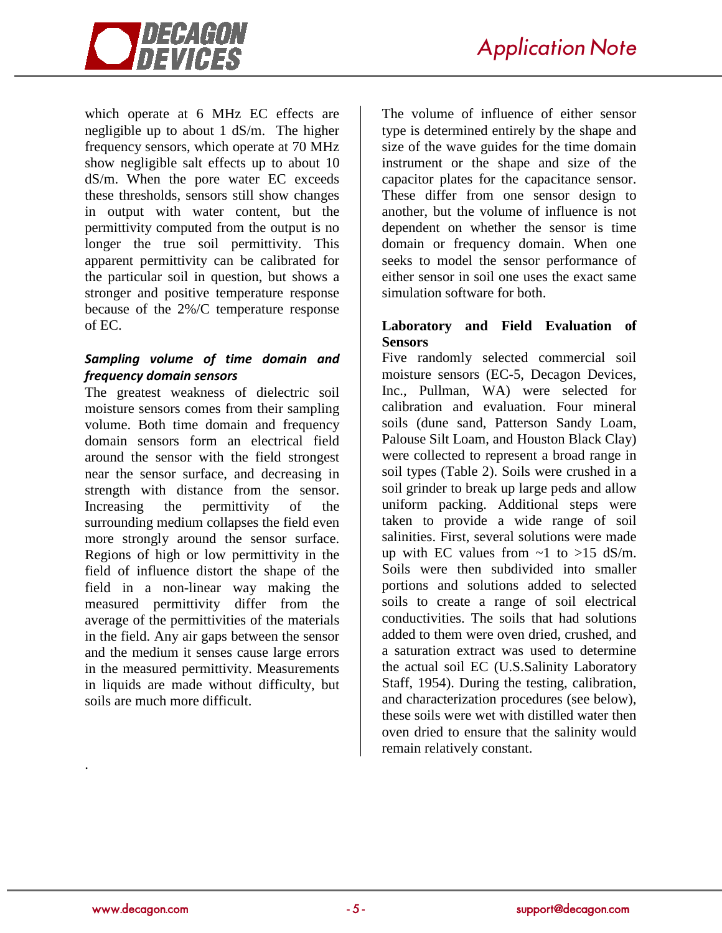

which operate at 6 MHz EC effects are negligible up to about 1 dS/m. The higher frequency sensors, which operate at 70 MHz show negligible salt effects up to about 10 dS/m. When the pore water EC exceeds these thresholds, sensors still show changes in output with water content, but the permittivity computed from the output is no longer the true soil permittivity. This apparent permittivity can be calibrated for the particular soil in question, but shows a stronger and positive temperature response because of the 2%/C temperature response of EC.

## *Sampling volume of time domain and frequency domain sensors*

The greatest weakness of dielectric soil moisture sensors comes from their sampling volume. Both time domain and frequency domain sensors form an electrical field around the sensor with the field strongest near the sensor surface, and decreasing in strength with distance from the sensor. Increasing the permittivity of the surrounding medium collapses the field even more strongly around the sensor surface. Regions of high or low permittivity in the field of influence distort the shape of the field in a non-linear way making the measured permittivity differ from the average of the permittivities of the materials in the field. Any air gaps between the sensor and the medium it senses cause large errors in the measured permittivity. Measurements in liquids are made without difficulty, but soils are much more difficult.

The volume of influence of either sensor type is determined entirely by the shape and size of the wave guides for the time domain instrument or the shape and size of the capacitor plates for the capacitance sensor. These differ from one sensor design to another, but the volume of influence is not dependent on whether the sensor is time domain or frequency domain. When one seeks to model the sensor performance of either sensor in soil one uses the exact same simulation software for both.

## **Laboratory and Field Evaluation of Sensors**

Five randomly selected commercial soil moisture sensors (EC-5, Decagon Devices, Inc., Pullman, WA) were selected for calibration and evaluation. Four mineral soils (dune sand, Patterson Sandy Loam, Palouse Silt Loam, and Houston Black Clay) were collected to represent a broad range in soil types (Table 2). Soils were crushed in a soil grinder to break up large peds and allow uniform packing. Additional steps were taken to provide a wide range of soil salinities. First, several solutions were made up with EC values from  $\sim$ 1 to  $>15$  dS/m. Soils were then subdivided into smaller portions and solutions added to selected soils to create a range of soil electrical conductivities. The soils that had solutions added to them were oven dried, crushed, and a saturation extract was used to determine the actual soil EC (U.S.Salinity Laboratory Staff, 1954). During the testing, calibration, and characterization procedures (see below), these soils were wet with distilled water then oven dried to ensure that the salinity would remain relatively constant.

.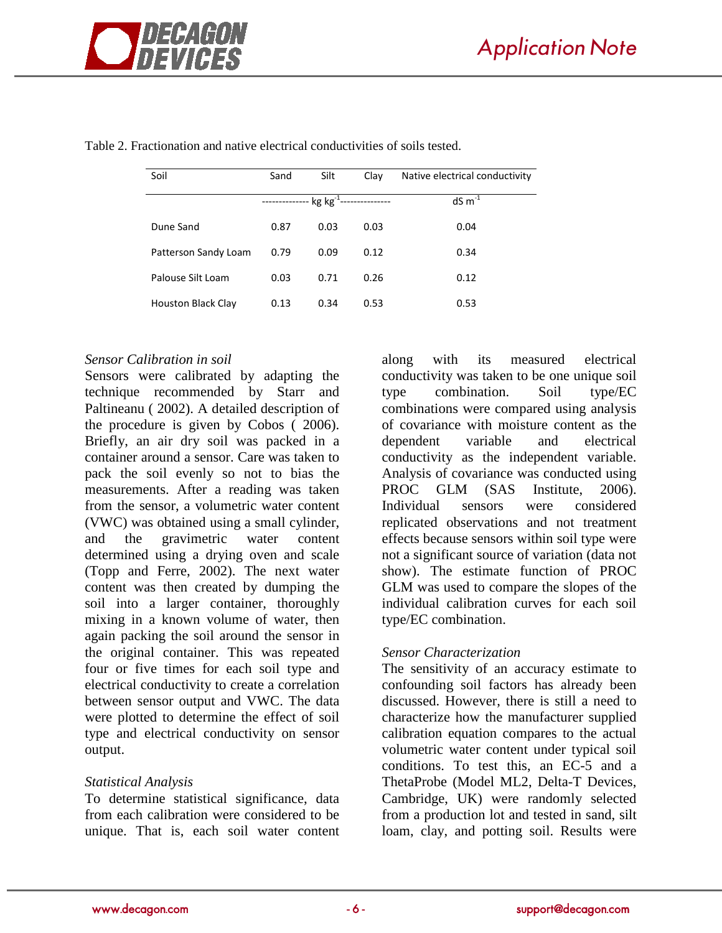

| Soil                      | Sand         | Silt                                   | Clay | Native electrical conductivity |
|---------------------------|--------------|----------------------------------------|------|--------------------------------|
|                           | ------------ | -- kg kg <sup>-1</sup> --------------- |      | $dS \, m^{-1}$                 |
| Dune Sand                 | 0.87         | 0.03                                   | 0.03 | 0.04                           |
| Patterson Sandy Loam      | 0.79         | 0.09                                   | 0.12 | 0.34                           |
| Palouse Silt Loam         | 0.03         | 0.71                                   | 0.26 | 0.12                           |
| <b>Houston Black Clay</b> | 0.13         | 0.34                                   | 0.53 | 0.53                           |

Table 2. Fractionation and native electrical conductivities of soils tested.

#### *Sensor Calibration in soil*

Sensors were calibrated by adapting the technique recommended by Starr and Paltineanu ( 2002). A detailed description of the procedure is given by Cobos ( 2006). Briefly, an air dry soil was packed in a container around a sensor. Care was taken to pack the soil evenly so not to bias the measurements. After a reading was taken from the sensor, a volumetric water content (VWC) was obtained using a small cylinder, and the gravimetric water content determined using a drying oven and scale (Topp and Ferre, 2002). The next water content was then created by dumping the soil into a larger container, thoroughly mixing in a known volume of water, then again packing the soil around the sensor in the original container. This was repeated four or five times for each soil type and electrical conductivity to create a correlation between sensor output and VWC. The data were plotted to determine the effect of soil type and electrical conductivity on sensor output.

#### *Statistical Analysis*

To determine statistical significance, data from each calibration were considered to be unique. That is, each soil water content

along with its measured electrical conductivity was taken to be one unique soil type combination. Soil type/EC combinations were compared using analysis of covariance with moisture content as the dependent variable and electrical conductivity as the independent variable. Analysis of covariance was conducted using PROC GLM (SAS Institute, 2006). Individual sensors were considered replicated observations and not treatment effects because sensors within soil type were not a significant source of variation (data not show). The estimate function of PROC GLM was used to compare the slopes of the individual calibration curves for each soil type/EC combination.

#### *Sensor Characterization*

The sensitivity of an accuracy estimate to confounding soil factors has already been discussed. However, there is still a need to characterize how the manufacturer supplied calibration equation compares to the actual volumetric water content under typical soil conditions. To test this, an EC-5 and a ThetaProbe (Model ML2, Delta-T Devices, Cambridge, UK) were randomly selected from a production lot and tested in sand, silt loam, clay, and potting soil. Results were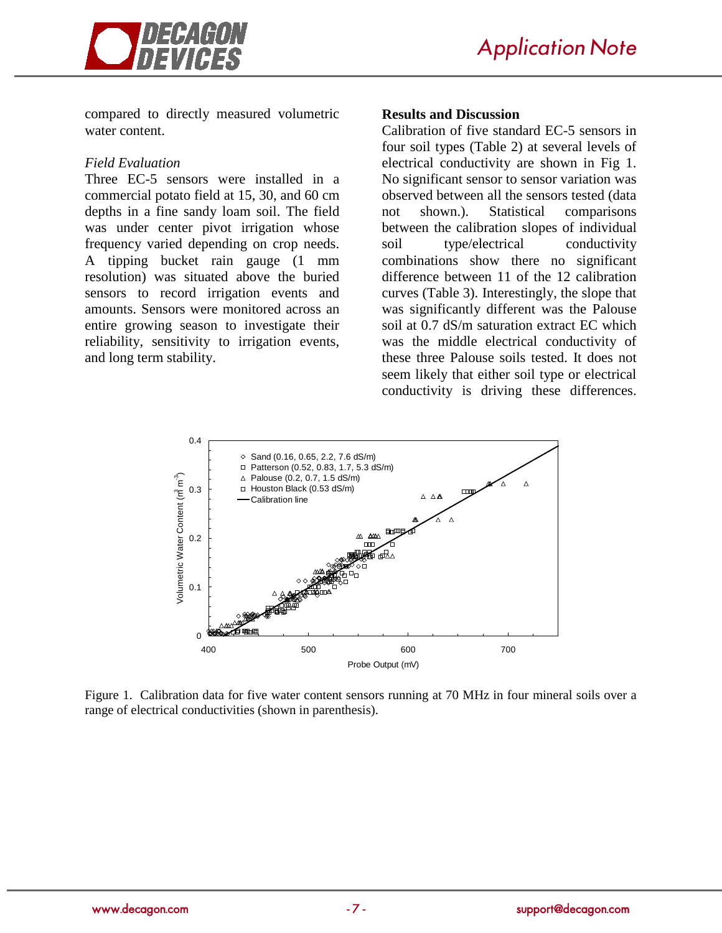

compared to directly measured volumetric water content.

#### *Field Evaluation*

Three EC-5 sensors were installed in a commercial potato field at 15, 30, and 60 cm depths in a fine sandy loam soil. The field was under center pivot irrigation whose frequency varied depending on crop needs. A tipping bucket rain gauge (1 mm resolution) was situated above the buried sensors to record irrigation events and amounts. Sensors were monitored across an entire growing season to investigate their reliability, sensitivity to irrigation events, and long term stability.

#### **Results and Discussion**

Calibration of five standard EC-5 sensors in four soil types (Table 2) at several levels of electrical conductivity are shown in Fig 1. No significant sensor to sensor variation was observed between all the sensors tested (data not shown.). Statistical comparisons between the calibration slopes of individual soil type/electrical conductivity combinations show there no significant difference between 11 of the 12 calibration curves (Table 3). Interestingly, the slope that was significantly different was the Palouse soil at 0.7 dS/m saturation extract EC which was the middle electrical conductivity of these three Palouse soils tested. It does not seem likely that either soil type or electrical conductivity is driving these differences.



Figure 1. Calibration data for five water content sensors running at 70 MHz in four mineral soils over a range of electrical conductivities (shown in parenthesis).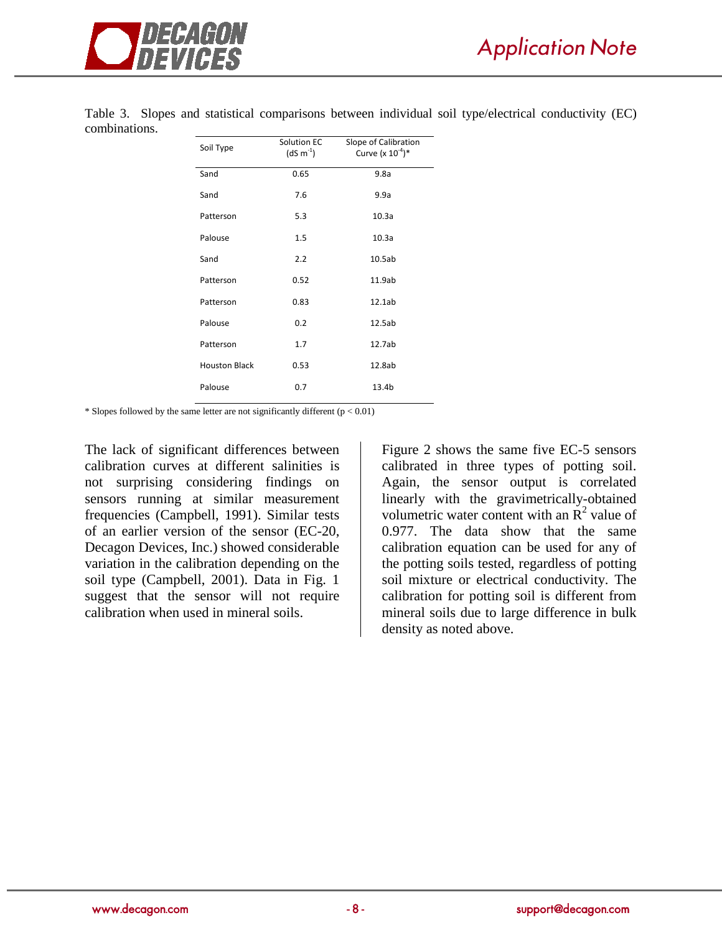

| Soil Type            | Solution EC<br>$(dS m-1)$ | Slope of Calibration<br>Curve (x $10^{-4}$ )* |
|----------------------|---------------------------|-----------------------------------------------|
| Sand                 | 0.65                      | 9.8a                                          |
| Sand                 | 7.6                       | 9.9a                                          |
| Patterson            | 5.3                       | 10.3a                                         |
| Palouse              | 1.5                       | 10.3a                                         |
| Sand                 | 2.2                       | 10.5ab                                        |
| Patterson            | 0.52                      | 11.9ab                                        |
| Patterson            | 0.83                      | 12.1ab                                        |
| Palouse              | 0.2                       | 12.5ab                                        |
| Patterson            | 1.7                       | 12.7ab                                        |
| <b>Houston Black</b> | 0.53                      | 12.8ab                                        |
| Palouse              | 0.7                       | 13.4b                                         |

Table 3. Slopes and statistical comparisons between individual soil type/electrical conductivity (EC) combinations.

\* Slopes followed by the same letter are not significantly different ( $p < 0.01$ )

The lack of significant differences between calibration curves at different salinities is not surprising considering findings on sensors running at similar measurement frequencies (Campbell, 1991). Similar tests of an earlier version of the sensor (EC-20, Decagon Devices, Inc.) showed considerable variation in the calibration depending on the soil type (Campbell, 2001). Data in Fig. 1 suggest that the sensor will not require calibration when used in mineral soils.

Figure 2 shows the same five EC-5 sensors calibrated in three types of potting soil. Again, the sensor output is correlated linearly with the gravimetrically-obtained volumetric water content with an  $\mathbb{R}^2$  value of 0.977. The data show that the same calibration equation can be used for any of the potting soils tested, regardless of potting soil mixture or electrical conductivity. The calibration for potting soil is different from mineral soils due to large difference in bulk density as noted above.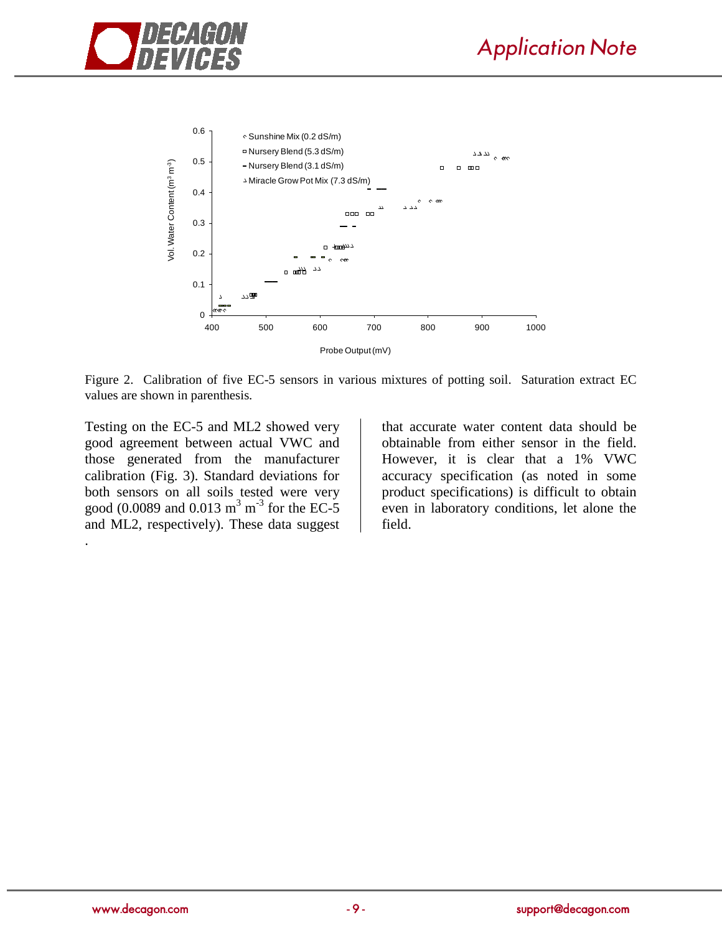



Figure 2. Calibration of five EC-5 sensors in various mixtures of potting soil. Saturation extract EC values are shown in parenthesis.

Testing on the EC-5 and ML2 showed very good agreement between actual VWC and those generated from the manufacturer calibration (Fig. 3). Standard deviations for both sensors on all soils tested were very good (0.0089 and 0.013 m<sup>3</sup> m<sup>-3</sup> for the EC-5 and ML2, respectively). These data suggest

that accurate water content data should be obtainable from either sensor in the field. However, it is clear that a 1% VWC accuracy specification (as noted in some product specifications) is difficult to obtain even in laboratory conditions, let alone the field.

.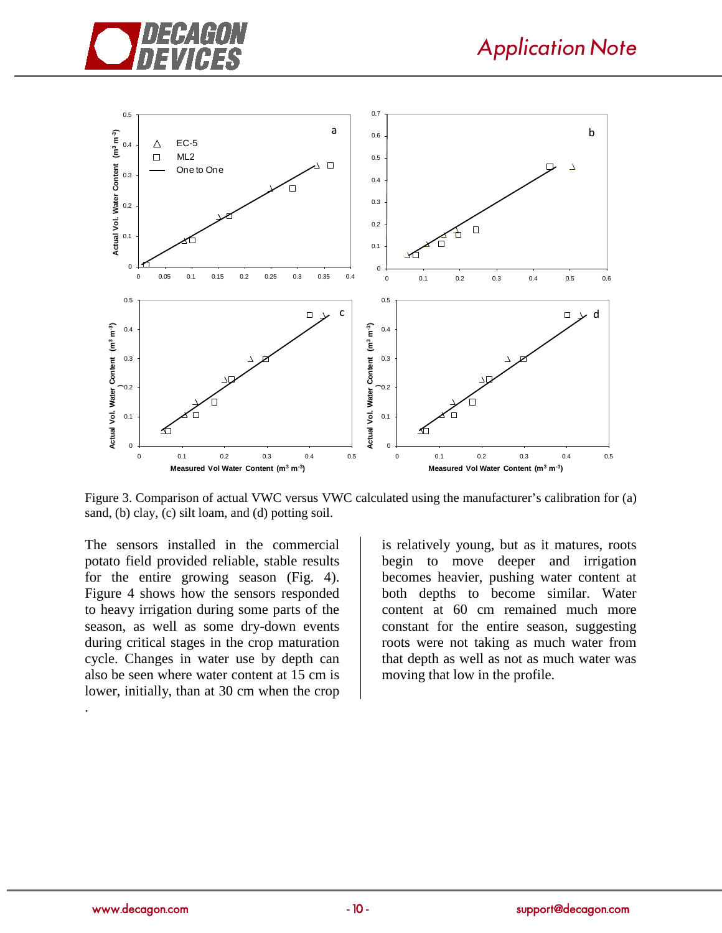



Figure 3. Comparison of actual VWC versus VWC calculated using the manufacturer's calibration for (a) sand, (b) clay, (c) silt loam, and (d) potting soil.

The sensors installed in the commercial potato field provided reliable, stable results for the entire growing season (Fig. 4). Figure 4 shows how the sensors responded to heavy irrigation during some parts of the season, as well as some dry-down events during critical stages in the crop maturation cycle. Changes in water use by depth can also be seen where water content at 15 cm is lower, initially, than at 30 cm when the crop

is relatively young, but as it matures, roots begin to move deeper and irrigation becomes heavier, pushing water content at both depths to become similar. Water content at 60 cm remained much more constant for the entire season, suggesting roots were not taking as much water from that depth as well as not as much water was moving that low in the profile.

.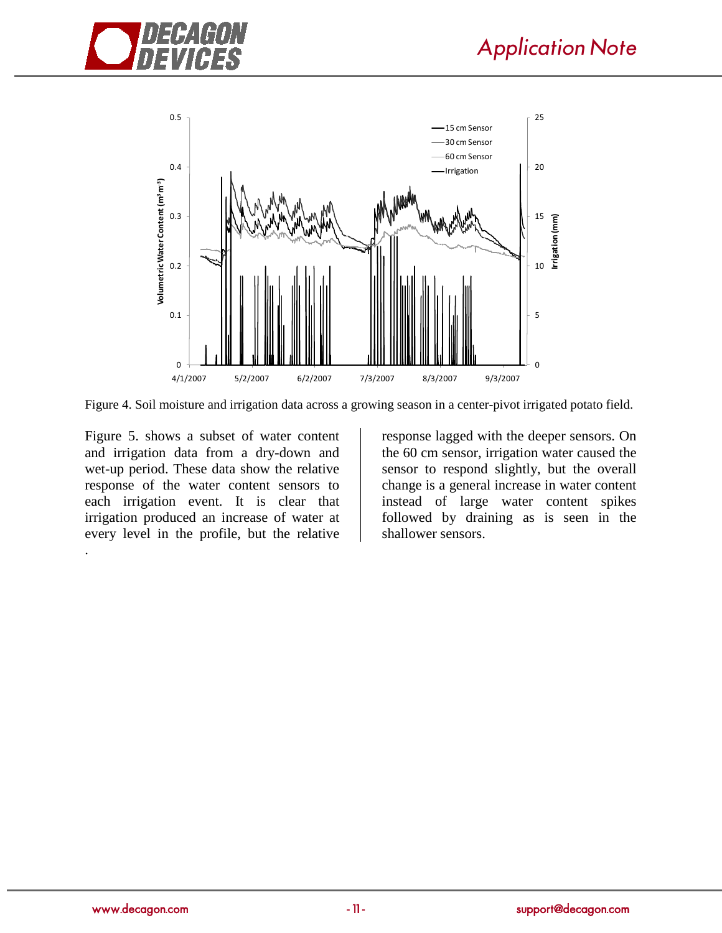



Figure 4. Soil moisture and irrigation data across a growing season in a center-pivot irrigated potato field.

Figure 5. shows a subset of water content and irrigation data from a dry-down and wet-up period. These data show the relative response of the water content sensors to each irrigation event. It is clear that irrigation produced an increase of water at every level in the profile, but the relative .

response lagged with the deeper sensors. On the 60 cm sensor, irrigation water caused the sensor to respond slightly, but the overall change is a general increase in water content instead of large water content spikes followed by draining as is seen in the shallower sensors.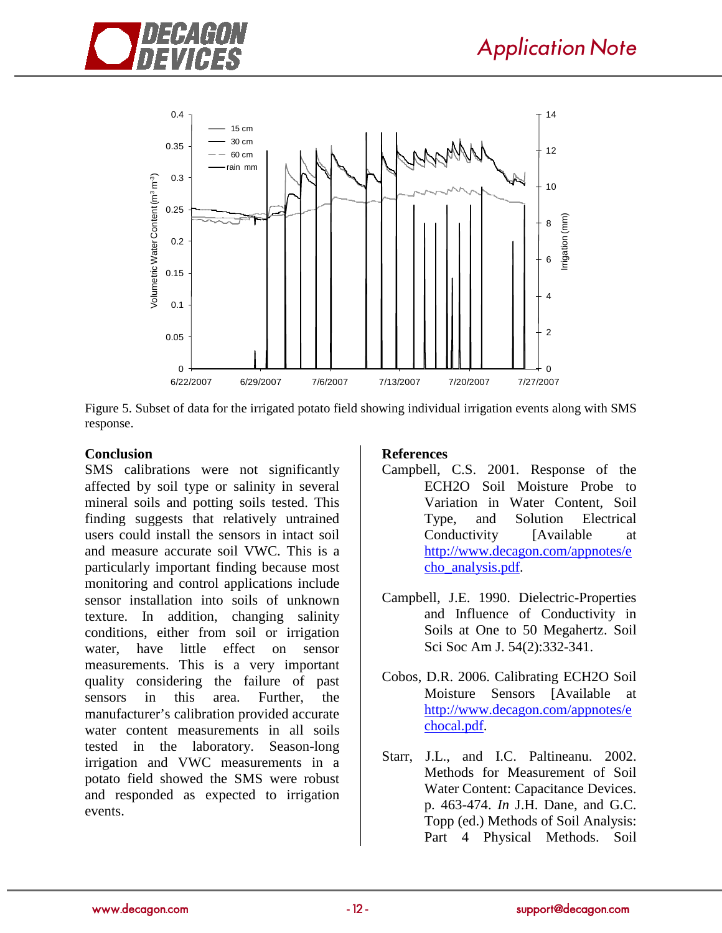



Figure 5. Subset of data for the irrigated potato field showing individual irrigation events along with SMS response.

### **Conclusion**

SMS calibrations were not significantly affected by soil type or salinity in several mineral soils and potting soils tested. This finding suggests that relatively untrained users could install the sensors in intact soil and measure accurate soil VWC. This is a particularly important finding because most monitoring and control applications include sensor installation into soils of unknown texture. In addition, changing salinity conditions, either from soil or irrigation water, have little effect on sensor measurements. This is a very important quality considering the failure of past sensors in this area. Further, the manufacturer's calibration provided accurate water content measurements in all soils tested in the laboratory. Season-long irrigation and VWC measurements in a potato field showed the SMS were robust and responded as expected to irrigation events.

## **References**

- Campbell, C.S. 2001. Response of the ECH2O Soil Moisture Probe to Variation in Water Content, Soil Type, and Solution Electrical Conductivity [Available at [http://www.decagon.com/appnotes/e](http://www.decagon.com/appnotes/echo_analysis.pdf) [cho\\_analysis.pdf.](http://www.decagon.com/appnotes/echo_analysis.pdf)
- Campbell, J.E. 1990. Dielectric-Properties and Influence of Conductivity in Soils at One to 50 Megahertz. Soil Sci Soc Am J. 54(2):332-341.
- Cobos, D.R. 2006. Calibrating ECH2O Soil Moisture Sensors [Available at [http://www.decagon.com/appnotes/e](http://www.decagon.com/appnotes/echocal.pdf) [chocal.pdf.](http://www.decagon.com/appnotes/echocal.pdf)
- Starr, J.L., and I.C. Paltineanu. 2002. Methods for Measurement of Soil Water Content: Capacitance Devices. p. 463-474. *In* J.H. Dane, and G.C. Topp (ed.) Methods of Soil Analysis: Part 4 Physical Methods. Soil